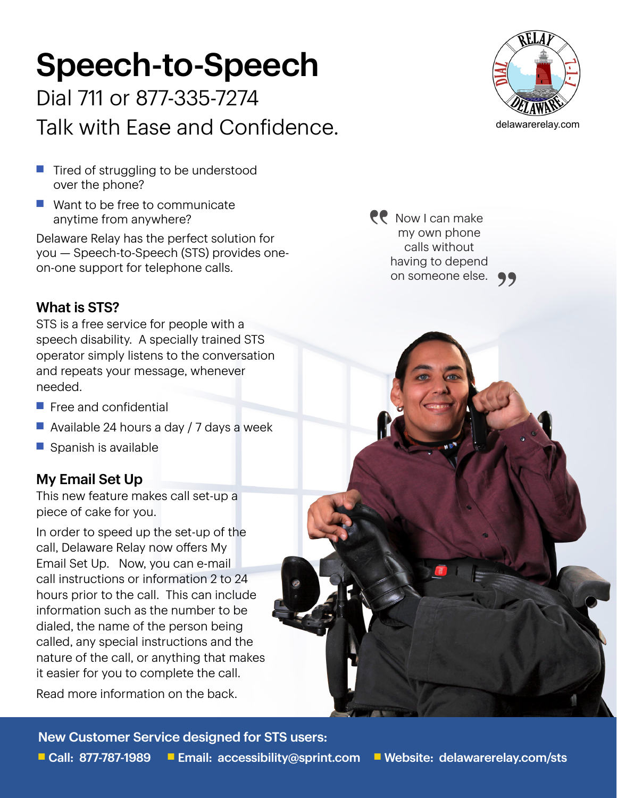# Speech-to-Speech

Dial 711 or 877-335-7274 Talk with Ease and Confidence.

- $\blacksquare$  Tired of struggling to be understood over the phone?
- $\blacksquare$  Want to be free to communicate anytime from anywhere?

Delaware Relay has the perfect solution for you — Speech-to-Speech (STS) provides oneon-one support for telephone calls.

# What is STS?

STS is a free service for people with a speech disability. A specially trained STS operator simply listens to the conversation and repeats your message, whenever needed.

- $\blacksquare$  Free and confidential
- $\blacksquare$  Available 24 hours a day / 7 days a week
- $\blacksquare$  Spanish is available

## My Email Set Up

This new feature makes call set-up a piece of cake for you.

In order to speed up the set-up of the call, Delaware Relay now offers My Email Set Up. Now, you can e-mail call instructions or information 2 to 24 hours prior to the call. This can include information such as the number to be dialed, the name of the person being called, any special instructions and the nature of the call, or anything that makes it easier for you to complete the call.

Read more information on the back.

New Customer Service designed for STS users:



**PP** Now I can make my own phone calls without having to depend on someone else. **99**